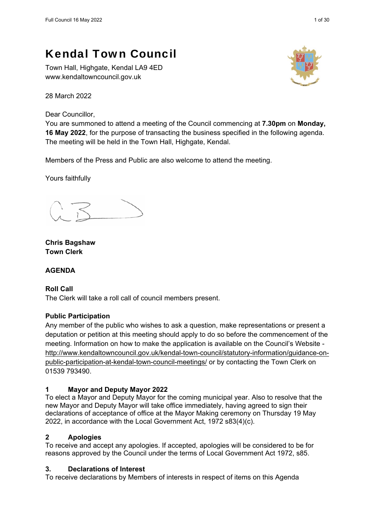Town Hall, Highgate, Kendal LA9 4ED www.kendaltowncouncil.gov.uk

28 March 2022

Dear Councillor,

You are summoned to attend a meeting of the Council commencing at **7.30pm** on **Monday, 16 May 2022**, for the purpose of transacting the business specified in the following agenda. The meeting will be held in the Town Hall, Highgate, Kendal.

Members of the Press and Public are also welcome to attend the meeting.

Yours faithfully

**Chris Bagshaw Town Clerk** 

# **AGENDA**

**Roll Call**  The Clerk will take a roll call of council members present.

# **Public Participation**

Any member of the public who wishes to ask a question, make representations or present a deputation or petition at this meeting should apply to do so before the commencement of the meeting. Information on how to make the application is available on the Council's Website http://www.kendaltowncouncil.gov.uk/kendal-town-council/statutory-information/guidance-onpublic-participation-at-kendal-town-council-meetings/ or by contacting the Town Clerk on 01539 793490.

# **1 Mayor and Deputy Mayor 2022**

To elect a Mayor and Deputy Mayor for the coming municipal year. Also to resolve that the new Mayor and Deputy Mayor will take office immediately, having agreed to sign their declarations of acceptance of office at the Mayor Making ceremony on Thursday 19 May 2022, in accordance with the Local Government Act, 1972 s83(4)(c).

# **2 Apologies**

To receive and accept any apologies. If accepted, apologies will be considered to be for reasons approved by the Council under the terms of Local Government Act 1972, s85.

# **3. Declarations of Interest**

To receive declarations by Members of interests in respect of items on this Agenda

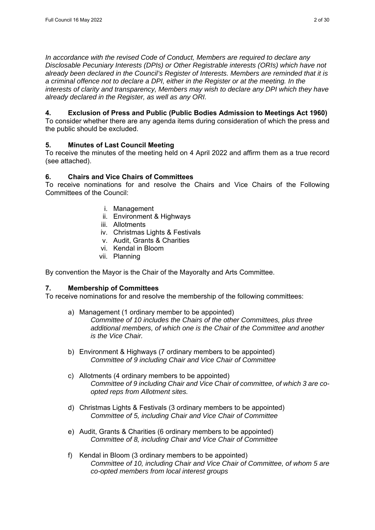*In accordance with the revised Code of Conduct, Members are required to declare any Disclosable Pecuniary Interests (DPIs) or Other Registrable interests (ORIs) which have not already been declared in the Council's Register of Interests. Members are reminded that it is a criminal offence not to declare a DPI, either in the Register or at the meeting. In the interests of clarity and transparency, Members may wish to declare any DPI which they have already declared in the Register, as well as any ORI.* 

# **4. Exclusion of Press and Public (Public Bodies Admission to Meetings Act 1960)**

To consider whether there are any agenda items during consideration of which the press and the public should be excluded.

# **5. Minutes of Last Council Meeting**

To receive the minutes of the meeting held on 4 April 2022 and affirm them as a true record (see attached).

# **6. Chairs and Vice Chairs of Committees**

To receive nominations for and resolve the Chairs and Vice Chairs of the Following Committees of the Council:

- i. Management
- ii. Environment & Highways
- iii. Allotments
- iv. Christmas Lights & Festivals
- v. Audit, Grants & Charities
- vi. Kendal in Bloom
- vii. Planning

By convention the Mayor is the Chair of the Mayoralty and Arts Committee.

# **7. Membership of Committees**

To receive nominations for and resolve the membership of the following committees:

- a) Management (1 ordinary member to be appointed) *Committee of 10 includes the Chairs of the other Committees, plus three additional members, of which one is the Chair of the Committee and another is the Vice Chair.*
- b) Environment & Highways (7 ordinary members to be appointed) *Committee of 9 including Chair and Vice Chair of Committee*
- c) Allotments (4 ordinary members to be appointed) *Committee of 9 including Chair and Vice Chair of committee, of which 3 are coopted reps from Allotment sites.*
- d) Christmas Lights & Festivals (3 ordinary members to be appointed) *Committee of 5, including Chair and Vice Chair of Committee*
- e) Audit, Grants & Charities (6 ordinary members to be appointed) *Committee of 8, including Chair and Vice Chair of Committee*
- f) Kendal in Bloom (3 ordinary members to be appointed) *Committee of 10, including Chair and Vice Chair of Committee, of whom 5 are co-opted members from local interest groups*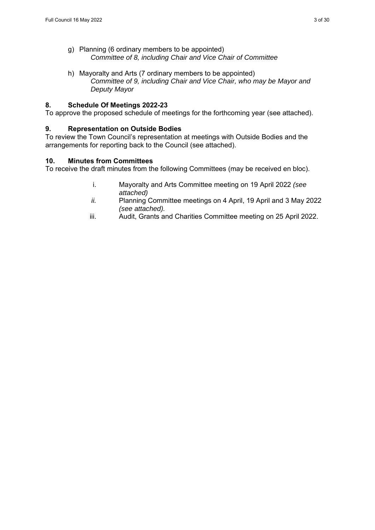- g) Planning (6 ordinary members to be appointed) *Committee of 8, including Chair and Vice Chair of Committee*
- h) Mayoralty and Arts (7 ordinary members to be appointed) *Committee of 9, including Chair and Vice Chair, who may be Mayor and Deputy Mayor*

#### **8. Schedule Of Meetings 2022-23**

To approve the proposed schedule of meetings for the forthcoming year (see attached).

#### **9. Representation on Outside Bodies**

To review the Town Council's representation at meetings with Outside Bodies and the arrangements for reporting back to the Council (see attached).

#### **10. Minutes from Committees**

To receive the draft minutes from the following Committees (may be received en bloc).

- i. Mayoralty and Arts Committee meeting on 19 April 2022 *(see attached)*
- *ii.* Planning Committee meetings on 4 April, 19 April and 3 May 2022 *(see attached).*
- iii. Audit, Grants and Charities Committee meeting on 25 April 2022.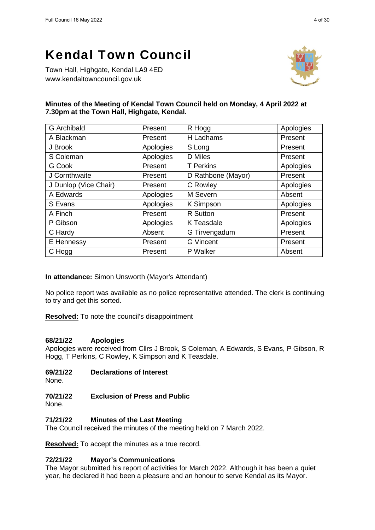Town Hall, Highgate, Kendal LA9 4ED www.kendaltowncouncil.gov.uk



#### **Minutes of the Meeting of Kendal Town Council held on Monday, 4 April 2022 at 7.30pm at the Town Hall, Highgate, Kendal.**

| <b>G</b> Archibald    | Present   | R Hogg             | Apologies |
|-----------------------|-----------|--------------------|-----------|
| A Blackman            | Present   | H Ladhams          | Present   |
| J Brook               | Apologies | S Long             | Present   |
| S Coleman             | Apologies | <b>D</b> Miles     | Present   |
| G Cook                | Present   | <b>T</b> Perkins   | Apologies |
| J Cornthwaite         | Present   | D Rathbone (Mayor) | Present   |
| J Dunlop (Vice Chair) | Present   | C Rowley           | Apologies |
| A Edwards             | Apologies | M Severn           | Absent    |
| S Evans               | Apologies | K Simpson          | Apologies |
| A Finch               | Present   | R Sutton           | Present   |
| P Gibson              | Apologies | K Teasdale         | Apologies |
| C Hardy               | Absent    | G Tirvengadum      | Present   |
| E Hennessy            | Present   | <b>G</b> Vincent   | Present   |
| C Hogg                | Present   | P Walker           | Absent    |

**In attendance:** Simon Unsworth (Mayor's Attendant)

No police report was available as no police representative attended. The clerk is continuing to try and get this sorted.

**Resolved:** To note the council's disappointment

#### **68/21/22 Apologies**

Apologies were received from Cllrs J Brook, S Coleman, A Edwards, S Evans, P Gibson, R Hogg, T Perkins, C Rowley, K Simpson and K Teasdale.

#### **69/21/22 Declarations of Interest**

None.

#### **70/21/22 Exclusion of Press and Public**

None.

#### **71/21/22 Minutes of the Last Meeting**

The Council received the minutes of the meeting held on 7 March 2022.

**Resolved:** To accept the minutes as a true record.

#### **72/21/22 Mayor's Communications**

The Mayor submitted his report of activities for March 2022. Although it has been a quiet year, he declared it had been a pleasure and an honour to serve Kendal as its Mayor.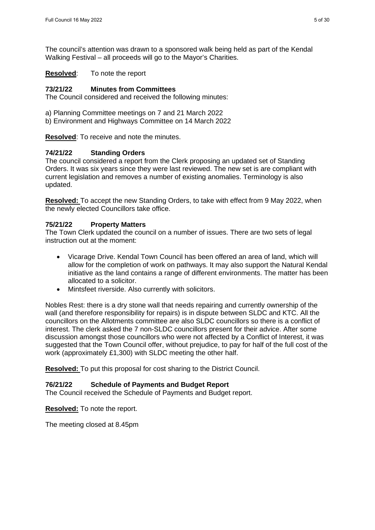The council's attention was drawn to a sponsored walk being held as part of the Kendal Walking Festival – all proceeds will go to the Mayor's Charities.

**Resolved**: To note the report

#### **73/21/22 Minutes from Committees**

The Council considered and received the following minutes:

- a) Planning Committee meetings on 7 and 21 March 2022
- b) Environment and Highways Committee on 14 March 2022

**Resolved**: To receive and note the minutes.

#### **74/21/22 Standing Orders**

The council considered a report from the Clerk proposing an updated set of Standing Orders. It was six years since they were last reviewed. The new set is are compliant with current legislation and removes a number of existing anomalies. Terminology is also updated.

**Resolved:** To accept the new Standing Orders, to take with effect from 9 May 2022, when the newly elected Councillors take office.

#### **75/21/22 Property Matters**

The Town Clerk updated the council on a number of issues. There are two sets of legal instruction out at the moment:

- Vicarage Drive. Kendal Town Council has been offered an area of land, which will allow for the completion of work on pathways. It may also support the Natural Kendal initiative as the land contains a range of different environments. The matter has been allocated to a solicitor.
- Mintsfeet riverside. Also currently with solicitors.

Nobles Rest: there is a dry stone wall that needs repairing and currently ownership of the wall (and therefore responsibility for repairs) is in dispute between SLDC and KTC. All the councillors on the Allotments committee are also SLDC councillors so there is a conflict of interest. The clerk asked the 7 non-SLDC councillors present for their advice. After some discussion amongst those councillors who were not affected by a Conflict of Interest, it was suggested that the Town Council offer, without prejudice, to pay for half of the full cost of the work (approximately £1,300) with SLDC meeting the other half.

**Resolved:** To put this proposal for cost sharing to the District Council.

#### **76/21/22 Schedule of Payments and Budget Report**

The Council received the Schedule of Payments and Budget report.

**Resolved:** To note the report.

The meeting closed at 8.45pm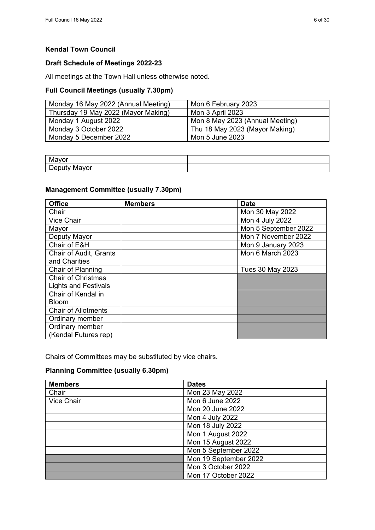# **Draft Schedule of Meetings 2022-23**

All meetings at the Town Hall unless otherwise noted.

# **Full Council Meetings (usually 7.30pm)**

| Monday 16 May 2022 (Annual Meeting) | Mon 6 February 2023             |
|-------------------------------------|---------------------------------|
| Thursday 19 May 2022 (Mayor Making) | Mon 3 April 2023                |
| Monday 1 August 2022                | Mon 8 May 2023 (Annual Meeting) |
| Monday 3 October 2022               | Thu 18 May 2023 (Mayor Making)  |
| Monday 5 December 2022              | Mon 5 June 2023                 |

| .<br>ູ<br>                                                   |  |
|--------------------------------------------------------------|--|
| Denuty<br>$\sim$ $ \sim$<br>- 1VL<br><b>VUI</b><br>DUPUL<br> |  |

#### **Management Committee (usually 7.30pm)**

| <b>Office</b>               | <b>Members</b> | <b>Date</b>          |
|-----------------------------|----------------|----------------------|
| Chair                       |                | Mon 30 May 2022      |
| <b>Vice Chair</b>           |                | Mon 4 July 2022      |
| Mayor                       |                | Mon 5 September 2022 |
| Deputy Mayor                |                | Mon 7 November 2022  |
| Chair of E&H                |                | Mon 9 January 2023   |
| Chair of Audit, Grants      |                | Mon 6 March 2023     |
| and Charities               |                |                      |
| Chair of Planning           |                | Tues 30 May 2023     |
| <b>Chair of Christmas</b>   |                |                      |
| <b>Lights and Festivals</b> |                |                      |
| Chair of Kendal in          |                |                      |
| <b>Bloom</b>                |                |                      |
| <b>Chair of Allotments</b>  |                |                      |
| Ordinary member             |                |                      |
| Ordinary member             |                |                      |
| (Kendal Futures rep)        |                |                      |

Chairs of Committees may be substituted by vice chairs.

# **Planning Committee (usually 6.30pm)**

| <b>Members</b> | <b>Dates</b>          |
|----------------|-----------------------|
| Chair          | Mon 23 May 2022       |
| Vice Chair     | Mon 6 June 2022       |
|                | Mon 20 June 2022      |
|                | Mon 4 July 2022       |
|                | Mon 18 July 2022      |
|                | Mon 1 August 2022     |
|                | Mon 15 August 2022    |
|                | Mon 5 September 2022  |
|                | Mon 19 September 2022 |
|                | Mon 3 October 2022    |
|                | Mon 17 October 2022   |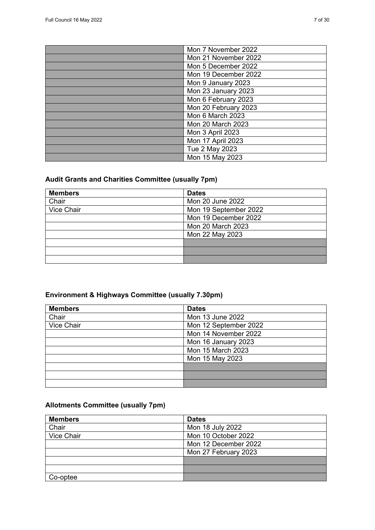| Mon 7 November 2022      |
|--------------------------|
| Mon 21 November 2022     |
| Mon 5 December 2022      |
| Mon 19 December 2022     |
| Mon 9 January 2023       |
| Mon 23 January 2023      |
| Mon 6 February 2023      |
| Mon 20 February 2023     |
| Mon 6 March 2023         |
| Mon 20 March 2023        |
| Mon 3 April 2023         |
| <b>Mon 17 April 2023</b> |
| Tue 2 May 2023           |
| Mon 15 May 2023          |

# **Audit Grants and Charities Committee (usually 7pm)**

| <b>Members</b> | <b>Dates</b>          |
|----------------|-----------------------|
| Chair          | Mon 20 June 2022      |
| Vice Chair     | Mon 19 September 2022 |
|                | Mon 19 December 2022  |
|                | Mon 20 March 2023     |
|                | Mon 22 May 2023       |
|                |                       |
|                |                       |
|                |                       |

# **Environment & Highways Committee (usually 7.30pm)**

| <b>Members</b> | <b>Dates</b>          |
|----------------|-----------------------|
| Chair          | Mon 13 June 2022      |
| Vice Chair     | Mon 12 September 2022 |
|                | Mon 14 November 2022  |
|                | Mon 16 January 2023   |
|                | Mon 15 March 2023     |
|                | Mon 15 May 2023       |
|                |                       |
|                |                       |
|                |                       |

# **Allotments Committee (usually 7pm)**

| <b>Members</b> | <b>Dates</b>         |
|----------------|----------------------|
| Chair          | Mon 18 July 2022     |
| Vice Chair     | Mon 10 October 2022  |
|                | Mon 12 December 2022 |
|                | Mon 27 February 2023 |
|                |                      |
|                |                      |
| Co-optee       |                      |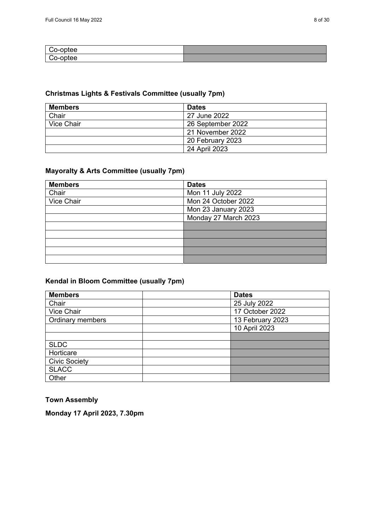| ∷o-optee |  |
|----------|--|
| Co-optee |  |

## **Christmas Lights & Festivals Committee (usually 7pm)**

| <b>Members</b> | <b>Dates</b>      |
|----------------|-------------------|
| Chair          | 27 June 2022      |
| Vice Chair     | 26 September 2022 |
|                | 21 November 2022  |
|                | 20 February 2023  |
|                | 24 April 2023     |

# **Mayoralty & Arts Committee (usually 7pm)**

| <b>Members</b> | <b>Dates</b>         |
|----------------|----------------------|
| Chair          | Mon 11 July 2022     |
| Vice Chair     | Mon 24 October 2022  |
|                | Mon 23 January 2023  |
|                | Monday 27 March 2023 |
|                |                      |
|                |                      |
|                |                      |
|                |                      |
|                |                      |

#### **Kendal in Bloom Committee (usually 7pm)**

| <b>Members</b>          | <b>Dates</b>     |
|-------------------------|------------------|
| Chair                   | 25 July 2022     |
| Vice Chair              | 17 October 2022  |
| <b>Ordinary members</b> | 13 February 2023 |
|                         | 10 April 2023    |
|                         |                  |
| <b>SLDC</b>             |                  |
| Horticare               |                  |
| <b>Civic Society</b>    |                  |
| <b>SLACC</b>            |                  |
| Other                   |                  |

## **Town Assembly**

**Monday 17 April 2023, 7.30pm**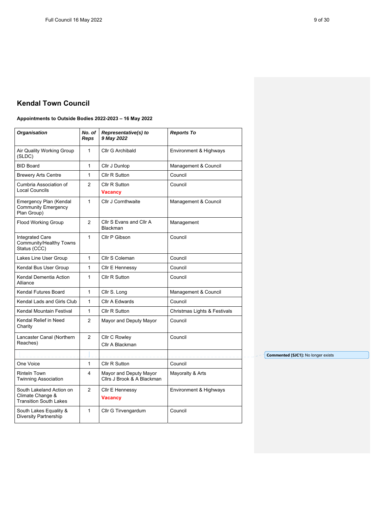#### **Appointments to Outside Bodies 2022-2023 – 16 May 2022**

| <b>Organisation</b>                                                           | No. of<br><b>Reps</b> | Representative(s) to<br>9 May 2022                   | <b>Reports To</b>            |
|-------------------------------------------------------------------------------|-----------------------|------------------------------------------------------|------------------------------|
| Air Quality Working Group<br>(SLDC)                                           | 1                     | Cllr G Archibald                                     | Environment & Highways       |
| <b>BID Board</b>                                                              | 1                     | Cllr J Dunlop                                        | Management & Council         |
| <b>Brewery Arts Centre</b>                                                    | $\mathbf{1}$          | Cllr R Sutton                                        | Council                      |
| Cumbria Association of<br><b>Local Councils</b>                               | 2                     | Cllr R Sutton<br><b>Vacancy</b>                      | Council                      |
| Emergency Plan (Kendal<br><b>Community Emergency</b><br>Plan Group)           | $\mathbf{1}$          | <b>Cllr J Cornthwaite</b>                            | Management & Council         |
| Flood Working Group                                                           | 2                     | Cllr S Evans and Cllr A<br>Blackman                  | Management                   |
| <b>Integrated Care</b><br>Community/Healthy Towns<br>Status (CCC)             | $\mathbf{1}$          | Cllr P Gibson                                        | Council                      |
| Lakes Line User Group                                                         | $\mathbf{1}$          | Cllr S Coleman                                       | Council                      |
| Kendal Bus User Group                                                         | $\mathbf{1}$          | Cllr E Hennessy                                      | Council                      |
| Kendal Dementia Action<br>Alliance                                            | $\mathbf{1}$          | Cllr R Sutton                                        | Council                      |
| Kendal Futures Board                                                          | $\mathbf{1}$          | Cllr S. Long                                         | Management & Council         |
| Kendal Lads and Girls Club                                                    | $\mathbf{1}$          | <b>Cllr A Edwards</b>                                | Council                      |
| Kendal Mountain Festival                                                      | $\mathbf{1}$          | Cllr R Sutton                                        | Christmas Lights & Festivals |
| Kendal Relief in Need<br>Charity                                              | $\overline{2}$        | Mayor and Deputy Mayor                               | Council                      |
| Lancaster Canal (Northern<br>Reaches)                                         | 2                     | Cllr C Rowley<br>Cllr A Blackman                     | Council                      |
|                                                                               |                       |                                                      |                              |
| One Voice                                                                     | $\mathbf{1}$          | Cllr R Sutton                                        | Council                      |
| <b>Rinteln Town</b><br><b>Twinning Association</b>                            | 4                     | Mayor and Deputy Mayor<br>Cllrs J Brook & A Blackman | Mayoralty & Arts             |
| South Lakeland Action on<br>Climate Change &<br><b>Transition South Lakes</b> | $\overline{2}$        | Cllr E Hennessy<br><b>Vacancy</b>                    | Environment & Highways       |
| South Lakes Equality &<br><b>Diversity Partnership</b>                        | 1                     | Cllr G Tirvengardum                                  | Council                      |
|                                                                               |                       |                                                      |                              |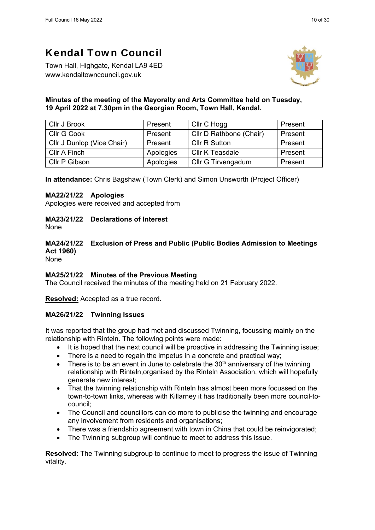Town Hall, Highgate, Kendal LA9 4ED www.kendaltowncouncil.gov.uk



#### **Minutes of the meeting of the Mayoralty and Arts Committee held on Tuesday, 19 April 2022 at 7.30pm in the Georgian Room, Town Hall, Kendal.**

| Cllr J Brook               | Present   | Cllr C Hogg             | Present |
|----------------------------|-----------|-------------------------|---------|
| Cllr G Cook                | Present   | Cllr D Rathbone (Chair) | Present |
| Cllr J Dunlop (Vice Chair) | Present   | <b>Cllr R Sutton</b>    | Present |
| Cllr A Finch               | Apologies | Cllr K Teasdale         | Present |
| Cllr P Gibson              | Apologies | Cllr G Tirvengadum      | Present |

**In attendance:** Chris Bagshaw (Town Clerk) and Simon Unsworth (Project Officer)

#### **MA22/21/22 Apologies**

Apologies were received and accepted from

**MA23/21/22 Declarations of Interest** 

None

# **MA24/21/22 Exclusion of Press and Public (Public Bodies Admission to Meetings Act 1960)**

None

#### **MA25/21/22 Minutes of the Previous Meeting**

The Council received the minutes of the meeting held on 21 February 2022.

**Resolved:** Accepted as a true record.

#### **MA26/21/22 Twinning Issues**

It was reported that the group had met and discussed Twinning, focussing mainly on the relationship with Rinteln. The following points were made:

- It is hoped that the next council will be proactive in addressing the Twinning issue;
- There is a need to regain the impetus in a concrete and practical way;
- $\bullet$  There is to be an event in June to celebrate the 30<sup>th</sup> anniversary of the twinning relationship with Rinteln,organised by the Rinteln Association, which will hopefully generate new interest;
- That the twinning relationship with Rinteln has almost been more focussed on the town-to-town links, whereas with Killarney it has traditionally been more council-tocouncil;
- The Council and councillors can do more to publicise the twinning and encourage any involvement from residents and organisations;
- There was a friendship agreement with town in China that could be reinvigorated;
- The Twinning subgroup will continue to meet to address this issue.

**Resolved:** The Twinning subgroup to continue to meet to progress the issue of Twinning vitality.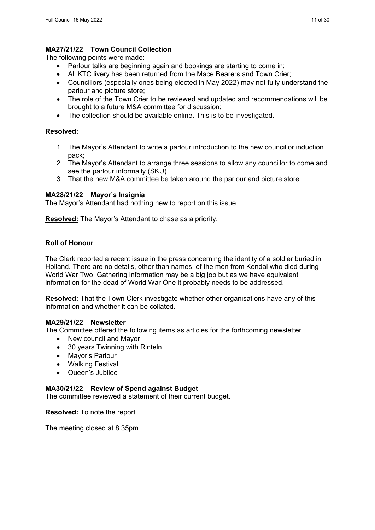## **MA27/21/22 Town Council Collection**

The following points were made:

- Parlour talks are beginning again and bookings are starting to come in;
- All KTC livery has been returned from the Mace Bearers and Town Crier;
- Councillors (especially ones being elected in May 2022) may not fully understand the parlour and picture store;
- The role of the Town Crier to be reviewed and updated and recommendations will be brought to a future M&A committee for discussion;
- The collection should be available online. This is to be investigated.

#### **Resolved:**

- 1. The Mayor's Attendant to write a parlour introduction to the new councillor induction pack;
- 2. The Mayor's Attendant to arrange three sessions to allow any councillor to come and see the parlour informally (SKU)
- 3. That the new M&A committee be taken around the parlour and picture store.

#### **MA28/21/22 Mayor's Insignia**

The Mayor's Attendant had nothing new to report on this issue.

**Resolved:** The Mayor's Attendant to chase as a priority.

## **Roll of Honour**

The Clerk reported a recent issue in the press concerning the identity of a soldier buried in Holland. There are no details, other than names, of the men from Kendal who died during World War Two. Gathering information may be a big job but as we have equivalent information for the dead of World War One it probably needs to be addressed.

**Resolved:** That the Town Clerk investigate whether other organisations have any of this information and whether it can be collated.

#### **MA29/21/22 Newsletter**

The Committee offered the following items as articles for the forthcoming newsletter.

- New council and Mayor
- 30 years Twinning with Rinteln
- Mayor's Parlour
- Walking Festival
- Queen's Jubilee

#### **MA30/21/22 Review of Spend against Budget**

The committee reviewed a statement of their current budget.

**Resolved:** To note the report.

The meeting closed at 8.35pm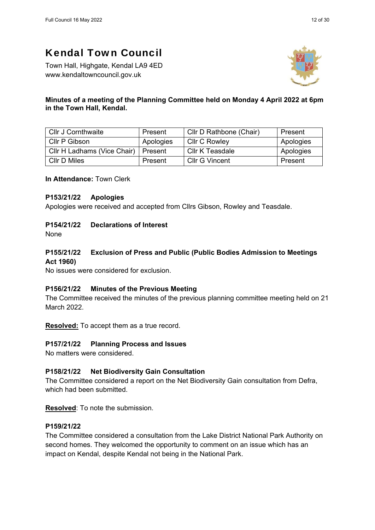Town Hall, Highgate, Kendal LA9 4ED www.kendaltowncouncil.gov.uk



#### **Minutes of a meeting of the Planning Committee held on Monday 4 April 2022 at 6pm in the Town Hall, Kendal.**

| <b>Cllr J Cornthwaite</b>   | Present   | Cllr D Rathbone (Chair) | Present   |
|-----------------------------|-----------|-------------------------|-----------|
| Cllr P Gibson               | Apologies | <b>CIIr C Rowley</b>    | Apologies |
| Cllr H Ladhams (Vice Chair) | Present   | Cllr K Teasdale         | Apologies |
| CIIr D Miles                | Present   | Cllr G Vincent          | Present   |

**In Attendance:** Town Clerk

#### **P153/21/22 Apologies**

Apologies were received and accepted from Cllrs Gibson, Rowley and Teasdale.

## **P154/21/22 Declarations of Interest**

None

# **P155/21/22 Exclusion of Press and Public (Public Bodies Admission to Meetings Act 1960)**

No issues were considered for exclusion.

#### **P156/21/22 Minutes of the Previous Meeting**

The Committee received the minutes of the previous planning committee meeting held on 21 March 2022.

**Resolved:** To accept them as a true record.

#### **P157/21/22 Planning Process and Issues**

No matters were considered.

# **P158/21/22 Net Biodiversity Gain Consultation**

The Committee considered a report on the Net Biodiversity Gain consultation from Defra, which had been submitted.

**Resolved**: To note the submission.

## **P159/21/22**

The Committee considered a consultation from the Lake District National Park Authority on second homes. They welcomed the opportunity to comment on an issue which has an impact on Kendal, despite Kendal not being in the National Park.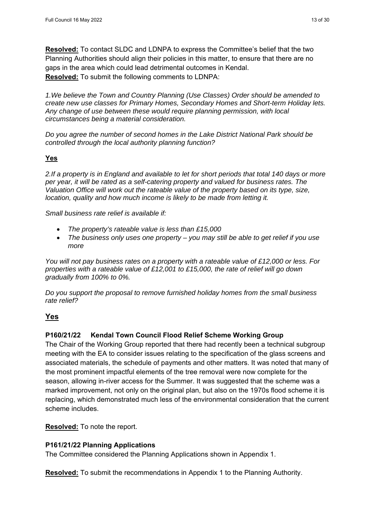**Resolved:** To contact SLDC and LDNPA to express the Committee's belief that the two Planning Authorities should align their policies in this matter, to ensure that there are no gaps in the area which could lead detrimental outcomes in Kendal. **Resolved:** To submit the following comments to LDNPA:

*1.We believe the Town and Country Planning (Use Classes) Order should be amended to create new use classes for Primary Homes, Secondary Homes and Short-term Holiday lets. Any change of use between these would require planning permission, with local circumstances being a material consideration.* 

*Do you agree the number of second homes in the Lake District National Park should be controlled through the local authority planning function?* 

#### **Yes**

*2.If a property is in England and available to let for short periods that total 140 days or more per year, it will be rated as a self-catering property and valued for business rates. The Valuation Office will work out the rateable value of the property based on its type, size, location, quality and how much income is likely to be made from letting it.* 

*Small business rate relief is available if:* 

- *The property's rateable value is less than £15,000*
- *The business only uses one property you may still be able to get relief if you use more*

*You will not pay business rates on a property with a rateable value of £12,000 or less. For properties with a rateable value of £12,001 to £15,000, the rate of relief will go down gradually from 100% to 0%.* 

*Do you support the proposal to remove furnished holiday homes from the small business rate relief?* 

#### **Yes**

#### **P160/21/22 Kendal Town Council Flood Relief Scheme Working Group**

The Chair of the Working Group reported that there had recently been a technical subgroup meeting with the EA to consider issues relating to the specification of the glass screens and associated materials, the schedule of payments and other matters. It was noted that many of the most prominent impactful elements of the tree removal were now complete for the season, allowing in-river access for the Summer. It was suggested that the scheme was a marked improvement, not only on the original plan, but also on the 1970s flood scheme it is replacing, which demonstrated much less of the environmental consideration that the current scheme includes.

**Resolved:** To note the report.

#### **P161/21/22 Planning Applications**

The Committee considered the Planning Applications shown in Appendix 1.

**Resolved:** To submit the recommendations in Appendix 1 to the Planning Authority.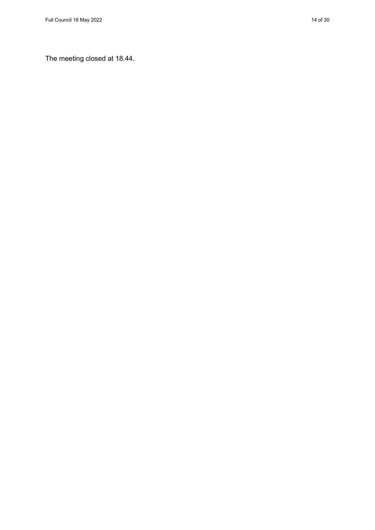The meeting closed at 18.44.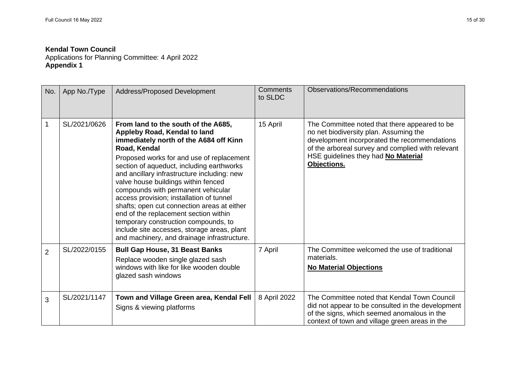Applications for Planning Committee: 4 April 2022 **Appendix 1**

| No.            | App No./Type | Address/Proposed Development                                                                                                                                                                                                                                                                                                                                                                                                                                                                                                                                                                                                  | <b>Comments</b><br>to SLDC | Observations/Recommendations                                                                                                                                                                                                                       |
|----------------|--------------|-------------------------------------------------------------------------------------------------------------------------------------------------------------------------------------------------------------------------------------------------------------------------------------------------------------------------------------------------------------------------------------------------------------------------------------------------------------------------------------------------------------------------------------------------------------------------------------------------------------------------------|----------------------------|----------------------------------------------------------------------------------------------------------------------------------------------------------------------------------------------------------------------------------------------------|
| $\mathbf 1$    | SL/2021/0626 | From land to the south of the A685,<br>Appleby Road, Kendal to land<br>immediately north of the A684 off Kinn<br>Road, Kendal<br>Proposed works for and use of replacement<br>section of aqueduct, including earthworks<br>and ancillary infrastructure including: new<br>valve house buildings within fenced<br>compounds with permanent vehicular<br>access provision; installation of tunnel<br>shafts; open cut connection areas at either<br>end of the replacement section within<br>temporary construction compounds, to<br>include site accesses, storage areas, plant<br>and machinery, and drainage infrastructure. | 15 April                   | The Committee noted that there appeared to be<br>no net biodiversity plan. Assuming the<br>development incorporated the recommendations<br>of the arboreal survey and complied with relevant<br>HSE guidelines they had No Material<br>Objections. |
| $\overline{2}$ | SL/2022/0155 | <b>Bull Gap House, 31 Beast Banks</b><br>Replace wooden single glazed sash<br>windows with like for like wooden double<br>glazed sash windows                                                                                                                                                                                                                                                                                                                                                                                                                                                                                 | 7 April                    | The Committee welcomed the use of traditional<br>materials.<br><b>No Material Objections</b>                                                                                                                                                       |
| 3              | SL/2021/1147 | Town and Village Green area, Kendal Fell<br>Signs & viewing platforms                                                                                                                                                                                                                                                                                                                                                                                                                                                                                                                                                         | 8 April 2022               | The Committee noted that Kendal Town Council<br>did not appear to be consulted in the development<br>of the signs, which seemed anomalous in the<br>context of town and village green areas in the                                                 |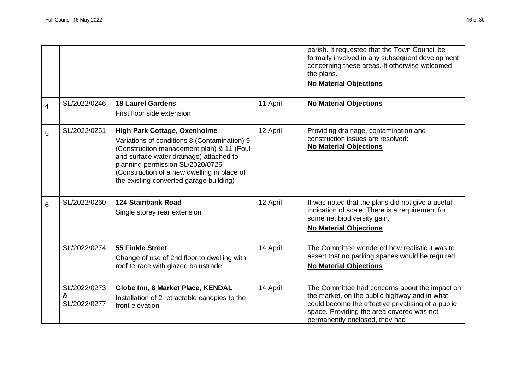|                |                                   |                                                                                                                                                                                                                                                                                                           |          | parish. It requested that the Town Council be<br>formally involved in any subsequent development<br>concerning these areas. It otherwise welcomed<br>the plans.<br><b>No Material Objections</b>                                     |
|----------------|-----------------------------------|-----------------------------------------------------------------------------------------------------------------------------------------------------------------------------------------------------------------------------------------------------------------------------------------------------------|----------|--------------------------------------------------------------------------------------------------------------------------------------------------------------------------------------------------------------------------------------|
| $\overline{4}$ | SL/2022/0246                      | <b>18 Laurel Gardens</b><br>First floor side extension                                                                                                                                                                                                                                                    | 11 April | <b>No Material Objections</b>                                                                                                                                                                                                        |
| 5              | SL/2022/0251                      | <b>High Park Cottage, Oxenholme</b><br>Variations of conditions 8 (Contamination) 9<br>(Construction management plan) & 11 (Foul<br>and surface water drainage) attached to<br>planning permission SL/2020/0726<br>(Construction of a new dwelling in place of<br>the existing converted garage building) | 12 April | Providing drainage, contamination and<br>construction issues are resolved:<br><b>No Material Objections</b>                                                                                                                          |
| 6              | SL/2022/0260                      | <b>124 Stainbank Road</b><br>Single storey rear extension                                                                                                                                                                                                                                                 | 12 April | It was noted that the plans did not give a useful<br>indication of scale. There is a requirement for<br>some net biodiversity gain.<br><b>No Material Objections</b>                                                                 |
|                | SL/2022/0274                      | <b>55 Finkle Street</b><br>Change of use of 2nd floor to dwelling with<br>roof terrace with glazed balustrade                                                                                                                                                                                             | 14 April | The Committee wondered how realistic it was to<br>assert that no parking spaces would be required.<br><b>No Material Objections</b>                                                                                                  |
|                | SL/2022/0273<br>&<br>SL/2022/0277 | Globe Inn, 8 Market Place, KENDAL<br>Installation of 2 retractable canopies to the<br>front elevation                                                                                                                                                                                                     | 14 April | The Committee had concerns about the impact on<br>the market, on the public highway and in what<br>could become the effective privatising of a public<br>space. Providing the area covered was not<br>permanently enclosed, they had |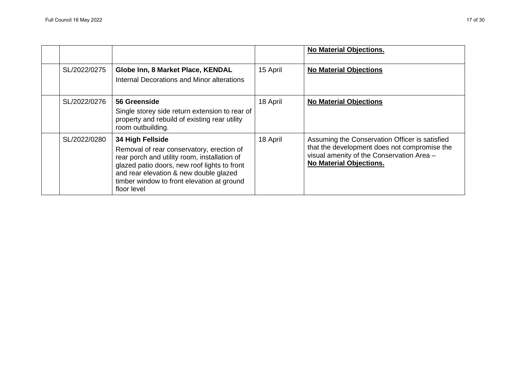|              |                                                                                                                                                                                                                                                                      |          | <b>No Material Objections.</b>                                                                                                                                                |
|--------------|----------------------------------------------------------------------------------------------------------------------------------------------------------------------------------------------------------------------------------------------------------------------|----------|-------------------------------------------------------------------------------------------------------------------------------------------------------------------------------|
| SL/2022/0275 | Globe Inn, 8 Market Place, KENDAL<br>Internal Decorations and Minor alterations                                                                                                                                                                                      | 15 April | <b>No Material Objections</b>                                                                                                                                                 |
| SL/2022/0276 | 56 Greenside<br>Single storey side return extension to rear of<br>property and rebuild of existing rear utility<br>room outbuilding.                                                                                                                                 | 18 April | <b>No Material Objections</b>                                                                                                                                                 |
| SL/2022/0280 | 34 High Fellside<br>Removal of rear conservatory, erection of<br>rear porch and utility room, installation of<br>glazed patio doors, new roof lights to front<br>and rear elevation & new double glazed<br>timber window to front elevation at ground<br>floor level | 18 April | Assuming the Conservation Officer is satisfied<br>that the development does not compromise the<br>visual amenity of the Conservation Area -<br><b>No Material Objections.</b> |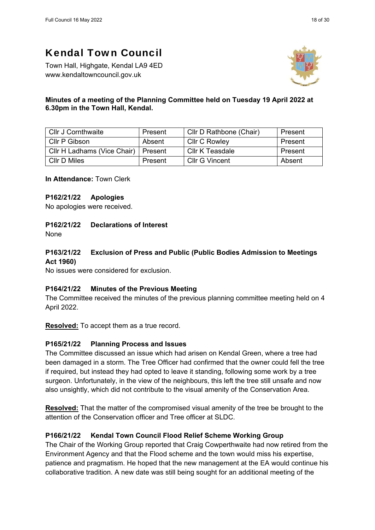Town Hall, Highgate, Kendal LA9 4ED www.kendaltowncouncil.gov.uk



## **Minutes of a meeting of the Planning Committee held on Tuesday 19 April 2022 at 6.30pm in the Town Hall, Kendal.**

| <b>Cllr J Cornthwaite</b>   | Present | Cllr D Rathbone (Chair) | Present |
|-----------------------------|---------|-------------------------|---------|
| Cllr P Gibson               | Absent  | <b>CIIr C Rowley</b>    | Present |
| CIIr H Ladhams (Vice Chair) | Present | Cllr K Teasdale         | Present |
| CIIr D Miles                | Present | Cllr G Vincent          | Absent  |

**In Attendance:** Town Clerk

## **P162/21/22 Apologies**

No apologies were received.

## **P162/21/22 Declarations of Interest**

None

# **P163/21/22 Exclusion of Press and Public (Public Bodies Admission to Meetings Act 1960)**

No issues were considered for exclusion.

# **P164/21/22 Minutes of the Previous Meeting**

The Committee received the minutes of the previous planning committee meeting held on 4 April 2022.

**Resolved:** To accept them as a true record.

# **P165/21/22 Planning Process and Issues**

The Committee discussed an issue which had arisen on Kendal Green, where a tree had been damaged in a storm. The Tree Officer had confirmed that the owner could fell the tree if required, but instead they had opted to leave it standing, following some work by a tree surgeon. Unfortunately, in the view of the neighbours, this left the tree still unsafe and now also unsightly, which did not contribute to the visual amenity of the Conservation Area.

**Resolved:** That the matter of the compromised visual amenity of the tree be brought to the attention of the Conservation officer and Tree officer at SLDC.

# **P166/21/22 Kendal Town Council Flood Relief Scheme Working Group**

The Chair of the Working Group reported that Craig Cowperthwaite had now retired from the Environment Agency and that the Flood scheme and the town would miss his expertise, patience and pragmatism. He hoped that the new management at the EA would continue his collaborative tradition. A new date was still being sought for an additional meeting of the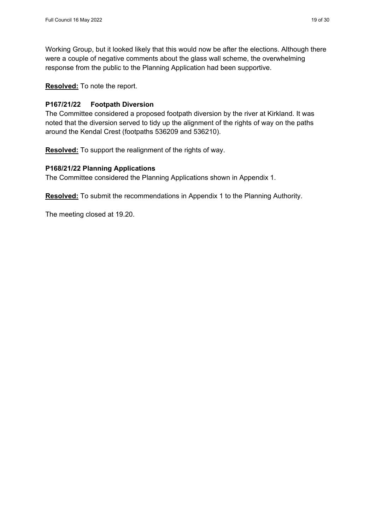Working Group, but it looked likely that this would now be after the elections. Although there were a couple of negative comments about the glass wall scheme, the overwhelming response from the public to the Planning Application had been supportive.

**Resolved:** To note the report.

#### **P167/21/22 Footpath Diversion**

The Committee considered a proposed footpath diversion by the river at Kirkland. It was noted that the diversion served to tidy up the alignment of the rights of way on the paths around the Kendal Crest (footpaths 536209 and 536210).

**Resolved:** To support the realignment of the rights of way.

#### **P168/21/22 Planning Applications**

The Committee considered the Planning Applications shown in Appendix 1.

**Resolved:** To submit the recommendations in Appendix 1 to the Planning Authority.

The meeting closed at 19.20.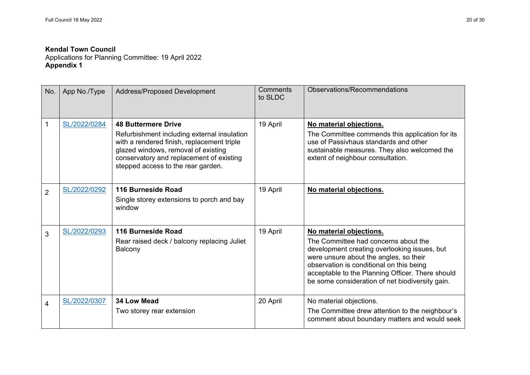Applications for Planning Committee: 19 April 2022 **Appendix 1** 

| No.            | App No./Type | Address/Proposed Development                                                                                                                                                                                                                     | Comments<br>to SLDC | Observations/Recommendations                                                                                                                                                                                                                                                                                 |
|----------------|--------------|--------------------------------------------------------------------------------------------------------------------------------------------------------------------------------------------------------------------------------------------------|---------------------|--------------------------------------------------------------------------------------------------------------------------------------------------------------------------------------------------------------------------------------------------------------------------------------------------------------|
| 1              | SL/2022/0284 | <b>48 Buttermere Drive</b><br>Refurbishment including external insulation<br>with a rendered finish, replacement triple<br>glazed windows, removal of existing<br>conservatory and replacement of existing<br>stepped access to the rear garden. | 19 April            | No material objections.<br>The Committee commends this application for its<br>use of Passivhaus standards and other<br>sustainable measures. They also welcomed the<br>extent of neighbour consultation.                                                                                                     |
| $\overline{2}$ | SL/2022/0292 | 116 Burneside Road<br>Single storey extensions to porch and bay<br>window                                                                                                                                                                        | 19 April            | No material objections.                                                                                                                                                                                                                                                                                      |
| 3              | SL/2022/0293 | 116 Burneside Road<br>Rear raised deck / balcony replacing Juliet<br>Balcony                                                                                                                                                                     | 19 April            | No material objections.<br>The Committee had concerns about the<br>development creating overlooking issues, but<br>were unsure about the angles, so their<br>observation is conditional on this being<br>acceptable to the Planning Officer. There should<br>be some consideration of net biodiversity gain. |
| 4              | SL/2022/0307 | 34 Low Mead<br>Two storey rear extension                                                                                                                                                                                                         | 20 April            | No material objections.<br>The Committee drew attention to the neighbour's<br>comment about boundary matters and would seek                                                                                                                                                                                  |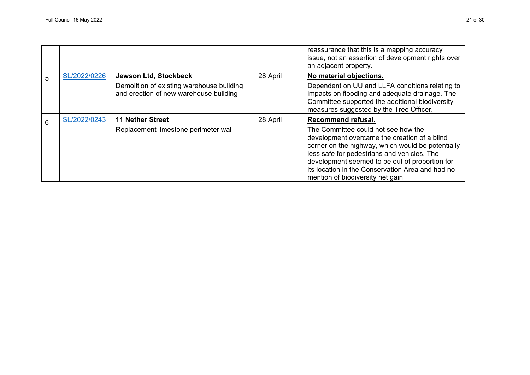|   |              |                                                                                                              |          | reassurance that this is a mapping accuracy<br>issue, not an assertion of development rights over<br>an adjacent property.                                                                                                                                                                                                                               |
|---|--------------|--------------------------------------------------------------------------------------------------------------|----------|----------------------------------------------------------------------------------------------------------------------------------------------------------------------------------------------------------------------------------------------------------------------------------------------------------------------------------------------------------|
| 5 | SL/2022/0226 | Jewson Ltd, Stockbeck<br>Demolition of existing warehouse building<br>and erection of new warehouse building | 28 April | No material objections.<br>Dependent on UU and LLFA conditions relating to<br>impacts on flooding and adequate drainage. The<br>Committee supported the additional biodiversity<br>measures suggested by the Tree Officer.                                                                                                                               |
| 6 | SL/2022/0243 | <b>11 Nether Street</b><br>Replacement limestone perimeter wall                                              | 28 April | Recommend refusal.<br>The Committee could not see how the<br>development overcame the creation of a blind<br>corner on the highway, which would be potentially<br>less safe for pedestrians and vehicles. The<br>development seemed to be out of proportion for<br>its location in the Conservation Area and had no<br>mention of biodiversity net gain. |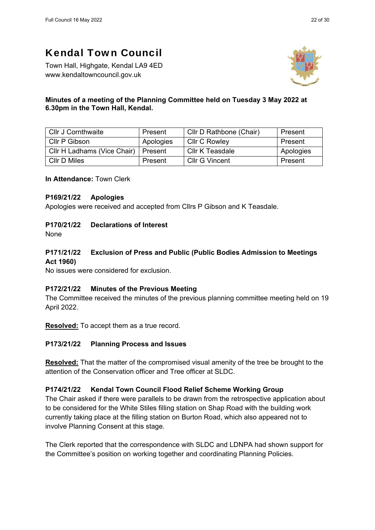Town Hall, Highgate, Kendal LA9 4ED www.kendaltowncouncil.gov.uk



## **Minutes of a meeting of the Planning Committee held on Tuesday 3 May 2022 at 6.30pm in the Town Hall, Kendal.**

| <b>Cllr J Cornthwaite</b>   | Present   | Cllr D Rathbone (Chair) | Present   |
|-----------------------------|-----------|-------------------------|-----------|
| Cllr P Gibson               | Apologies | <b>CIIr C Rowley</b>    | Present   |
| CIIr H Ladhams (Vice Chair) | Present   | Cllr K Teasdale         | Apologies |
| CIIr D Miles                | Present   | Cllr G Vincent          | Present   |

**In Attendance:** Town Clerk

## **P169/21/22 Apologies**

Apologies were received and accepted from Cllrs P Gibson and K Teasdale.

# **P170/21/22 Declarations of Interest**

None

# **P171/21/22 Exclusion of Press and Public (Public Bodies Admission to Meetings Act 1960)**

No issues were considered for exclusion.

# **P172/21/22 Minutes of the Previous Meeting**

The Committee received the minutes of the previous planning committee meeting held on 19 April 2022.

**Resolved:** To accept them as a true record.

# **P173/21/22 Planning Process and Issues**

**Resolved:** That the matter of the compromised visual amenity of the tree be brought to the attention of the Conservation officer and Tree officer at SLDC.

#### **P174/21/22 Kendal Town Council Flood Relief Scheme Working Group**

The Chair asked if there were parallels to be drawn from the retrospective application about to be considered for the White Stiles filling station on Shap Road with the building work currently taking place at the filling station on Burton Road, which also appeared not to involve Planning Consent at this stage.

The Clerk reported that the correspondence with SLDC and LDNPA had shown support for the Committee's position on working together and coordinating Planning Policies.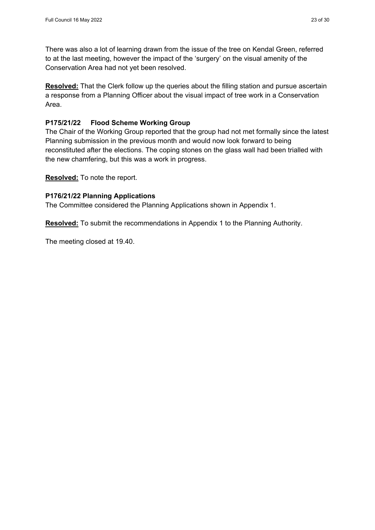There was also a lot of learning drawn from the issue of the tree on Kendal Green, referred to at the last meeting, however the impact of the 'surgery' on the visual amenity of the Conservation Area had not yet been resolved.

**Resolved:** That the Clerk follow up the queries about the filling station and pursue ascertain a response from a Planning Officer about the visual impact of tree work in a Conservation Area.

## **P175/21/22 Flood Scheme Working Group**

The Chair of the Working Group reported that the group had not met formally since the latest Planning submission in the previous month and would now look forward to being reconstituted after the elections. The coping stones on the glass wall had been trialled with the new chamfering, but this was a work in progress.

**Resolved:** To note the report.

#### **P176/21/22 Planning Applications**

The Committee considered the Planning Applications shown in Appendix 1.

**Resolved:** To submit the recommendations in Appendix 1 to the Planning Authority.

The meeting closed at 19.40.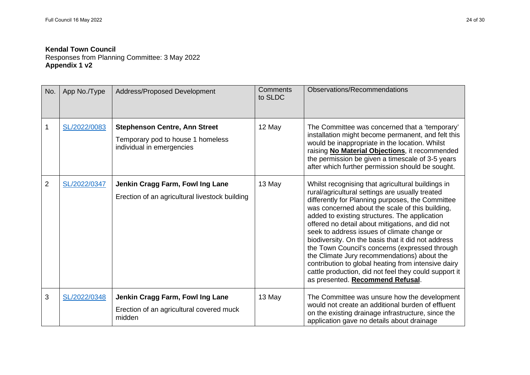Responses from Planning Committee: 3 May 2022 **Appendix 1 v2**

| No.            | App No./Type | Address/Proposed Development                                                                           | Comments<br>to SLDC | Observations/Recommendations                                                                                                                                                                                                                                                                                                                                                                                                                                                                                                                                                                                                                                               |
|----------------|--------------|--------------------------------------------------------------------------------------------------------|---------------------|----------------------------------------------------------------------------------------------------------------------------------------------------------------------------------------------------------------------------------------------------------------------------------------------------------------------------------------------------------------------------------------------------------------------------------------------------------------------------------------------------------------------------------------------------------------------------------------------------------------------------------------------------------------------------|
|                | SL/2022/0083 | <b>Stephenson Centre, Ann Street</b><br>Temporary pod to house 1 homeless<br>individual in emergencies | 12 May              | The Committee was concerned that a 'temporary'<br>installation might become permanent, and felt this<br>would be inappropriate in the location. Whilst<br>raising No Material Objections, it recommended<br>the permission be given a timescale of 3-5 years<br>after which further permission should be sought.                                                                                                                                                                                                                                                                                                                                                           |
| $\overline{2}$ | SL/2022/0347 | Jenkin Cragg Farm, Fowl Ing Lane<br>Erection of an agricultural livestock building                     | 13 May              | Whilst recognising that agricultural buildings in<br>rural/agricultural settings are usually treated<br>differently for Planning purposes, the Committee<br>was concerned about the scale of this building,<br>added to existing structures. The application<br>offered no detail about mitigations, and did not<br>seek to address issues of climate change or<br>biodiversity. On the basis that it did not address<br>the Town Council's concerns (expressed through<br>the Climate Jury recommendations) about the<br>contribution to global heating from intensive dairy<br>cattle production, did not feel they could support it<br>as presented. Recommend Refusal. |
| 3              | SL/2022/0348 | Jenkin Cragg Farm, Fowl Ing Lane<br>Erection of an agricultural covered muck<br>midden                 | 13 May              | The Committee was unsure how the development<br>would not create an additional burden of effluent<br>on the existing drainage infrastructure, since the<br>application gave no details about drainage                                                                                                                                                                                                                                                                                                                                                                                                                                                                      |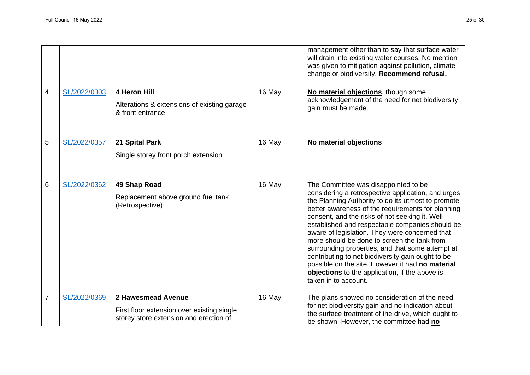|   |              |                                                                                                            |        | management other than to say that surface water<br>will drain into existing water courses. No mention<br>was given to mitigation against pollution, climate<br>change or biodiversity. Recommend refusal.                                                                                                                                                                                                                                                                                                                                                                                                                                           |
|---|--------------|------------------------------------------------------------------------------------------------------------|--------|-----------------------------------------------------------------------------------------------------------------------------------------------------------------------------------------------------------------------------------------------------------------------------------------------------------------------------------------------------------------------------------------------------------------------------------------------------------------------------------------------------------------------------------------------------------------------------------------------------------------------------------------------------|
| 4 | SL/2022/0303 | 4 Heron Hill<br>Alterations & extensions of existing garage<br>& front entrance                            | 16 May | No material objections, though some<br>acknowledgement of the need for net biodiversity<br>gain must be made.                                                                                                                                                                                                                                                                                                                                                                                                                                                                                                                                       |
| 5 | SL/2022/0357 | 21 Spital Park<br>Single storey front porch extension                                                      | 16 May | No material objections                                                                                                                                                                                                                                                                                                                                                                                                                                                                                                                                                                                                                              |
| 6 | SL/2022/0362 | 49 Shap Road<br>Replacement above ground fuel tank<br>(Retrospective)                                      | 16 May | The Committee was disappointed to be<br>considering a retrospective application, and urges<br>the Planning Authority to do its utmost to promote<br>better awareness of the requirements for planning<br>consent, and the risks of not seeking it. Well-<br>established and respectable companies should be<br>aware of legislation. They were concerned that<br>more should be done to screen the tank from<br>surrounding properties, and that some attempt at<br>contributing to net biodiversity gain ought to be<br>possible on the site. However it had no material<br>objections to the application, if the above is<br>taken in to account. |
| 7 | SL/2022/0369 | 2 Hawesmead Avenue<br>First floor extension over existing single<br>storey store extension and erection of | 16 May | The plans showed no consideration of the need<br>for net biodiversity gain and no indication about<br>the surface treatment of the drive, which ought to<br>be shown. However, the committee had no                                                                                                                                                                                                                                                                                                                                                                                                                                                 |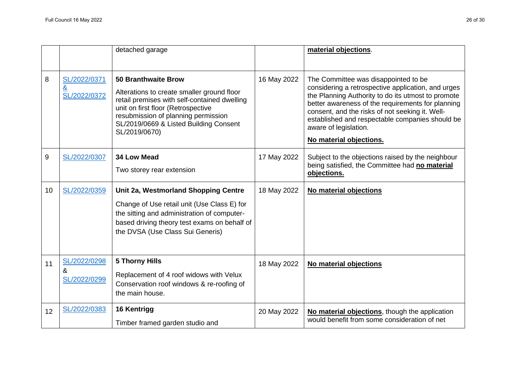|    |                                                 | detached garage                                                                                                                                                                                                                                                  |             | material objections.                                                                                                                                                                                                                                                                                                                                            |
|----|-------------------------------------------------|------------------------------------------------------------------------------------------------------------------------------------------------------------------------------------------------------------------------------------------------------------------|-------------|-----------------------------------------------------------------------------------------------------------------------------------------------------------------------------------------------------------------------------------------------------------------------------------------------------------------------------------------------------------------|
| 8  | SL/2022/0371<br>$\underline{8}$<br>SL/2022/0372 | <b>50 Branthwaite Brow</b><br>Alterations to create smaller ground floor<br>retail premises with self-contained dwelling<br>unit on first floor (Retrospective<br>resubmission of planning permission<br>SL/2019/0669 & Listed Building Consent<br>SL/2019/0670) | 16 May 2022 | The Committee was disappointed to be<br>considering a retrospective application, and urges<br>the Planning Authority to do its utmost to promote<br>better awareness of the requirements for planning<br>consent, and the risks of not seeking it. Well-<br>established and respectable companies should be<br>aware of legislation.<br>No material objections. |
| 9  | SL/2022/0307                                    | 34 Low Mead<br>Two storey rear extension                                                                                                                                                                                                                         | 17 May 2022 | Subject to the objections raised by the neighbour<br>being satisfied, the Committee had no material<br>objections.                                                                                                                                                                                                                                              |
| 10 | SL/2022/0359                                    | Unit 2a, Westmorland Shopping Centre<br>Change of Use retail unit (Use Class E) for<br>the sitting and administration of computer-<br>based driving theory test exams on behalf of<br>the DVSA (Use Class Sui Generis)                                           | 18 May 2022 | No material objections                                                                                                                                                                                                                                                                                                                                          |
| 11 | SL/2022/0298<br>&<br>SL/2022/0299               | <b>5 Thorny Hills</b><br>Replacement of 4 roof widows with Velux<br>Conservation roof windows & re-roofing of<br>the main house.                                                                                                                                 | 18 May 2022 | No material objections                                                                                                                                                                                                                                                                                                                                          |
| 12 | SL/2022/0383                                    | 16 Kentrigg<br>Timber framed garden studio and                                                                                                                                                                                                                   | 20 May 2022 | No material objections, though the application<br>would benefit from some consideration of net                                                                                                                                                                                                                                                                  |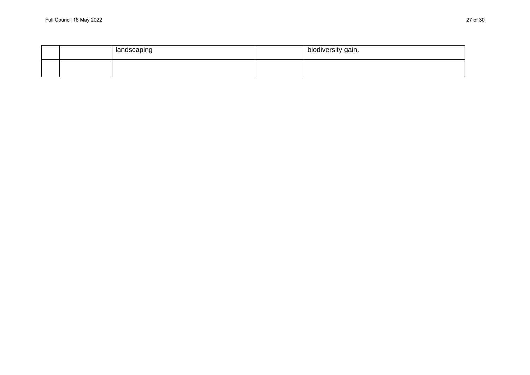|  | landscaping | biodiversity gain. |
|--|-------------|--------------------|
|  |             |                    |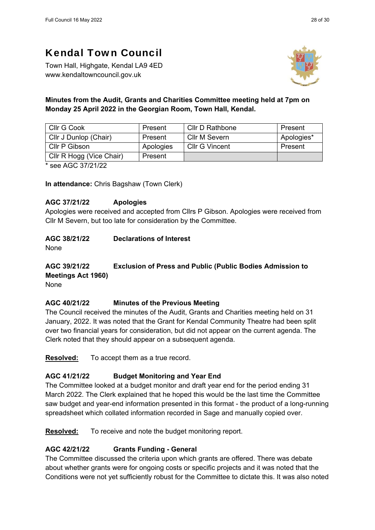Town Hall, Highgate, Kendal LA9 4ED www.kendaltowncouncil.gov.uk



# **Minutes from the Audit, Grants and Charities Committee meeting held at 7pm on Monday 25 April 2022 in the Georgian Room, Town Hall, Kendal.**

| Cllr G Cook                                                              | Present   | Cllr D Rathbone       | Present    |  |  |
|--------------------------------------------------------------------------|-----------|-----------------------|------------|--|--|
| Cllr J Dunlop (Chair)                                                    | Present   | Cllr M Severn         | Apologies* |  |  |
| Cllr P Gibson                                                            | Apologies | <b>Cllr G Vincent</b> | Present    |  |  |
| Cllr R Hogg (Vice Chair)                                                 | Present   |                       |            |  |  |
| $\sim$ $\sim$ $\sim$ $\sim$ $\sim$ $\sim$ $\sim$<br>alla contratto di un |           |                       |            |  |  |

\* see AGC 37/21/22

**In attendance:** Chris Bagshaw (Town Clerk)

## **AGC 37/21/22 Apologies**

Apologies were received and accepted from Cllrs P Gibson. Apologies were received from Cllr M Severn, but too late for consideration by the Committee.

# **AGC 38/21/22 Declarations of Interest**

None

#### **AGC 39/21/22 Exclusion of Press and Public (Public Bodies Admission to Meetings Act 1960)**  None

#### **AGC 40/21/22 Minutes of the Previous Meeting**

The Council received the minutes of the Audit, Grants and Charities meeting held on 31 January, 2022. It was noted that the Grant for Kendal Community Theatre had been split over two financial years for consideration, but did not appear on the current agenda. The Clerk noted that they should appear on a subsequent agenda.

**Resolved:** To accept them as a true record.

# **AGC 41/21/22 Budget Monitoring and Year End**

The Committee looked at a budget monitor and draft year end for the period ending 31 March 2022. The Clerk explained that he hoped this would be the last time the Committee saw budget and year-end information presented in this format - the product of a long-running spreadsheet which collated information recorded in Sage and manually copied over.

**Resolved:** To receive and note the budget monitoring report.

# **AGC 42/21/22 Grants Funding - General**

The Committee discussed the criteria upon which grants are offered. There was debate about whether grants were for ongoing costs or specific projects and it was noted that the Conditions were not yet sufficiently robust for the Committee to dictate this. It was also noted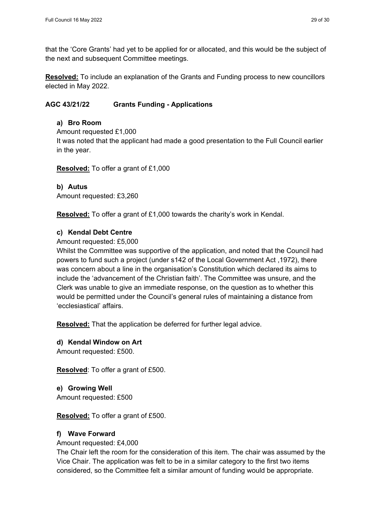that the 'Core Grants' had yet to be applied for or allocated, and this would be the subject of the next and subsequent Committee meetings.

**Resolved:** To include an explanation of the Grants and Funding process to new councillors elected in May 2022.

## **AGC 43/21/22 Grants Funding - Applications**

#### **a) Bro Room**

Amount requested £1,000

It was noted that the applicant had made a good presentation to the Full Council earlier in the year.

**Resolved:** To offer a grant of £1,000

#### **b) Autus**  Amount requested: £3,260

**Resolved:** To offer a grant of £1,000 towards the charity's work in Kendal.

## **c) Kendal Debt Centre**

#### Amount requested: £5,000

Whilst the Committee was supportive of the application, and noted that the Council had powers to fund such a project (under s142 of the Local Government Act ,1972), there was concern about a line in the organisation's Constitution which declared its aims to include the 'advancement of the Christian faith'. The Committee was unsure, and the Clerk was unable to give an immediate response, on the question as to whether this would be permitted under the Council's general rules of maintaining a distance from 'ecclesiastical' affairs.

**Resolved:** That the application be deferred for further legal advice.

**d) Kendal Window on Art**  Amount requested: £500.

**Resolved**: To offer a grant of £500.

**e) Growing Well**  Amount requested: £500

**Resolved:** To offer a grant of £500.

#### **f) Wave Forward**

#### Amount requested: £4,000

The Chair left the room for the consideration of this item. The chair was assumed by the Vice Chair. The application was felt to be in a similar category to the first two items considered, so the Committee felt a similar amount of funding would be appropriate.